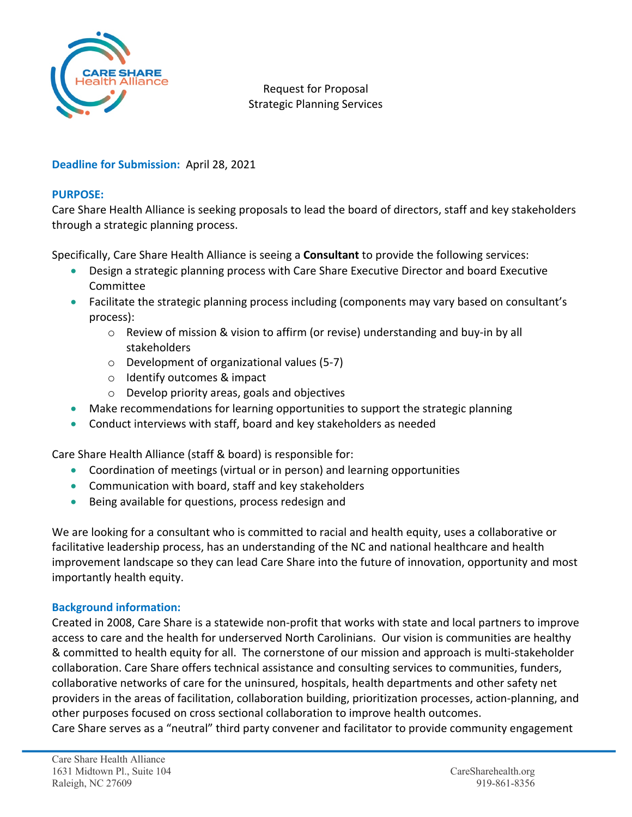

Request for Proposal Strategic Planning Services

## **Deadline for Submission:** April 28, 2021

## **PURPOSE:**

Care Share Health Alliance is seeking proposals to lead the board of directors, staff and key stakeholders through a strategic planning process.

Specifically, Care Share Health Alliance is seeing a **Consultant** to provide the following services:

- Design a strategic planning process with Care Share Executive Director and board Executive Committee
- Facilitate the strategic planning process including (components may vary based on consultant's process):
	- $\circ$  Review of mission & vision to affirm (or revise) understanding and buy-in by all stakeholders
	- o Development of organizational values (5-7)
	- o Identify outcomes & impact
	- o Develop priority areas, goals and objectives
- Make recommendations for learning opportunities to support the strategic planning
- Conduct interviews with staff, board and key stakeholders as needed

Care Share Health Alliance (staff & board) is responsible for:

- Coordination of meetings (virtual or in person) and learning opportunities
- Communication with board, staff and key stakeholders
- Being available for questions, process redesign and

We are looking for a consultant who is committed to racial and health equity, uses a collaborative or facilitative leadership process, has an understanding of the NC and national healthcare and health improvement landscape so they can lead Care Share into the future of innovation, opportunity and most importantly health equity.

## **Background information:**

Created in 2008, Care Share is a statewide non-profit that works with state and local partners to improve access to care and the health for underserved North Carolinians. Our vision is communities are healthy & committed to health equity for all. The cornerstone of our mission and approach is multi-stakeholder collaboration. Care Share offers technical assistance and consulting services to communities, funders, collaborative networks of care for the uninsured, hospitals, health departments and other safety net providers in the areas of facilitation, collaboration building, prioritization processes, action-planning, and other purposes focused on cross sectional collaboration to improve health outcomes. Care Share serves as a "neutral" third party convener and facilitator to provide community engagement